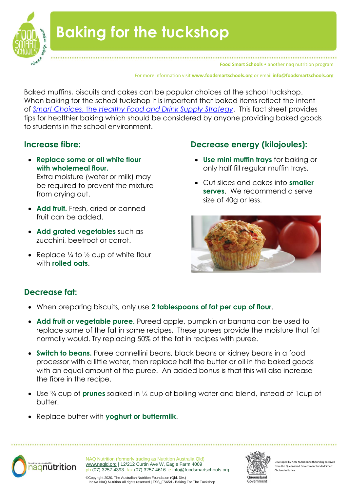

# **Baking for the tuckshop**

**Food Smart Schools • another nag nutrition program** 

For more information visit **www.foodsmartschools.org** or email **info@foodsmartschools.org**

Baked muffins, biscuits and cakes can be popular choices at the school tuckshop. When baking for the school tuckshop it is important that baked items reflect the intent of *Smart Choices*, the *[Healthy Food and Drink Supply](https://education.qld.gov.au/student/Documents/smart-choices-strategy.pdf) Strategy*. This fact sheet provides tips for healthier baking which should be considered by anyone providing baked goods to students in the school environment.

### **Increase fibre:**

• **Replace some or all white flour with wholemeal flour.**

Extra moisture (water or milk) may be required to prevent the mixture from drying out.

- **Add fruit.** Fresh, dried or canned fruit can be added.
- **Add grated vegetables** such as zucchini, beetroot or carrot.
- Replace  $\frac{1}{4}$  to  $\frac{1}{2}$  cup of white flour with **rolled oats**.

## **Decrease energy (kilojoules):**

- **Use mini muffin trays** for baking or only half fill regular muffin trays.
- Cut slices and cakes into **smaller serves**. We recommend a serve size of 40g or less.



## **Decrease fat:**

- When preparing biscuits, only use **2 tablespoons of fat per cup of flour**.
- **Add fruit or vegetable puree.** Pureed apple, pumpkin or banana can be used to replace some of the fat in some recipes. These purees provide the moisture that fat normally would. Try replacing 50% of the fat in recipes with puree.
- **Switch to beans.** Puree cannellini beans, black beans or kidney beans in a food processor with a little water, then replace half the butter or oil in the baked goods with an equal amount of the puree. An added bonus is that this will also increase the fibre in the recipe.
- Use ¾ cup of **prunes** soaked in ¼ cup of boiling water and blend, instead of 1cup of butter.
- Replace butter with **yoghurt or buttermilk**.



NAQ Nutrition (formerly trading as Nutrition Australia Qld) [www.naqld.org](http://www.naqld.org/) | 12/212 Curtin Ave W, Eagle Farm 4009 ph (07) 3257 4393 fax (07) 3257 4616 e info@foodsmartschools.org



Developed by NAQ Nutrition with funding rece from the Queensland Government funded S Choices Initiative.

©Copyright 2020. The Australian Nutrition Foundation (Qld. Div.) Inc t/a NAQ Nutrition All rights reserved | FSS\_FS65d - Baking For The Tuckshop